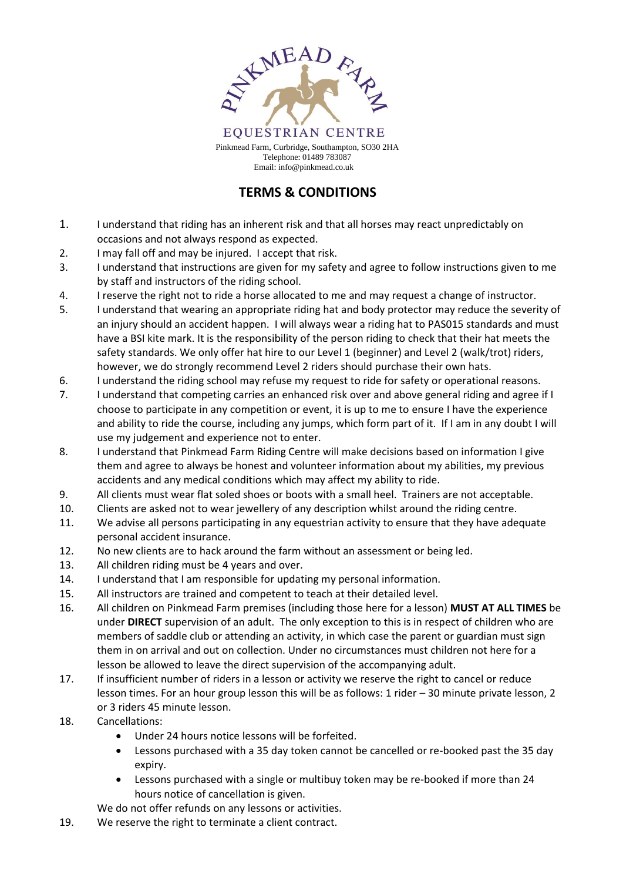

Email: info@pinkmead.co.uk

## **TERMS & CONDITIONS**

- 1. I understand that riding has an inherent risk and that all horses may react unpredictably on occasions and not always respond as expected.
- 2. I may fall off and may be injured. I accept that risk.
- 3. I understand that instructions are given for my safety and agree to follow instructions given to me by staff and instructors of the riding school.
- 4. I reserve the right not to ride a horse allocated to me and may request a change of instructor.
- 5. I understand that wearing an appropriate riding hat and body protector may reduce the severity of an injury should an accident happen. I will always wear a riding hat to PAS015 standards and must have a BSI kite mark. It is the responsibility of the person riding to check that their hat meets the safety standards. We only offer hat hire to our Level 1 (beginner) and Level 2 (walk/trot) riders, however, we do strongly recommend Level 2 riders should purchase their own hats.
- 6. I understand the riding school may refuse my request to ride for safety or operational reasons.
- 7. I understand that competing carries an enhanced risk over and above general riding and agree if I choose to participate in any competition or event, it is up to me to ensure I have the experience and ability to ride the course, including any jumps, which form part of it. If I am in any doubt I will use my judgement and experience not to enter.
- 8. I understand that Pinkmead Farm Riding Centre will make decisions based on information I give them and agree to always be honest and volunteer information about my abilities, my previous accidents and any medical conditions which may affect my ability to ride.
- 9. All clients must wear flat soled shoes or boots with a small heel. Trainers are not acceptable.
- 10. Clients are asked not to wear jewellery of any description whilst around the riding centre.
- 11. We advise all persons participating in any equestrian activity to ensure that they have adequate personal accident insurance.
- 12. No new clients are to hack around the farm without an assessment or being led.
- 13. All children riding must be 4 years and over.
- 14. I understand that I am responsible for updating my personal information.
- 15. All instructors are trained and competent to teach at their detailed level.
- 16. All children on Pinkmead Farm premises (including those here for a lesson) **MUST AT ALL TIMES** be under **DIRECT** supervision of an adult. The only exception to this is in respect of children who are members of saddle club or attending an activity, in which case the parent or guardian must sign them in on arrival and out on collection. Under no circumstances must children not here for a lesson be allowed to leave the direct supervision of the accompanying adult.
- 17. If insufficient number of riders in a lesson or activity we reserve the right to cancel or reduce lesson times. For an hour group lesson this will be as follows: 1 rider – 30 minute private lesson, 2 or 3 riders 45 minute lesson.
- 18. Cancellations:
	- Under 24 hours notice lessons will be forfeited.
	- Lessons purchased with a 35 day token cannot be cancelled or re-booked past the 35 day expiry.
	- Lessons purchased with a single or multibuy token may be re-booked if more than 24 hours notice of cancellation is given.

We do not offer refunds on any lessons or activities.

19. We reserve the right to terminate a client contract.